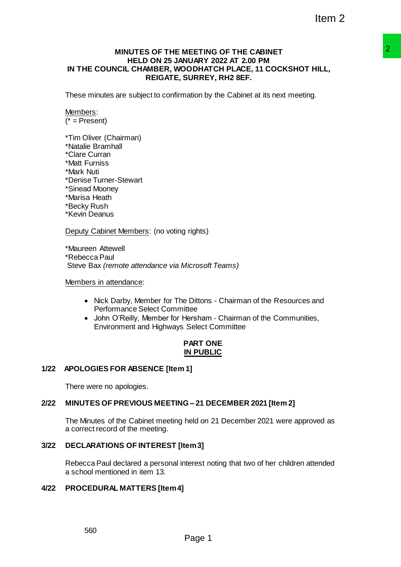# **MINUTES OF THE MEETING OF THE CABINET HELD ON 25 JANUARY 2022 AT 2.00 PM IN THE COUNCIL CHAMBER, WOODHATCH PLACE, 11 COCKSHOT HILL, REIGATE, SURREY, RH2 8EF.** INEETING OF THE CABINET<br>
MUARY 2022 AT 2.00 PM<br>
ODHATCH PLACE, 11 COCKSHOT HILL,<br>
BURREY, RH2 8EF.<br>
BURREY, RH2 8EF.<br>
Alicons of Teams)<br>
Alicons - Chairman of the Resources and<br>
Hersham - Chairman of the Resources and<br>
Her

These minutes are subject to confirmation by the Cabinet at its next meeting.

#### Members:  $(* = Present)$

\*Tim Oliver (Chairman) \*Natalie Bramhall \*Clare Curran \*Matt Furniss \*Mark Nuti \*Denise Turner-Stewart \*Sinead Mooney \*Marisa Heath \*Becky Rush \*Kevin Deanus

#### Deputy Cabinet Members: (no voting rights)

\*Maureen Attewell \*Rebecca Paul Steve Bax *(remote attendance via Microsoft Teams)*

#### Members in attendance:

- Nick Darby, Member for The Dittons Chairman of the Resources and Performance Select Committee
- John O'Reilly, Member for Hersham Chairman of the Communities, Environment and Highways Select Committee

#### **PART ONE IN PUBLIC**

#### **1/22 APOLOGIES FOR ABSENCE [Item 1]**

There were no apologies.

#### **2/22 MINUTES OF PREVIOUS MEETING – 21 DECEMBER 2021 [Item 2]**

The Minutes of the Cabinet meeting held on 21 December 2021 were approved as a correct record of the meeting.

#### **3/22 DECLARATIONS OF INTEREST [Item 3]**

Rebecca Paul declared a personal interest noting that two of her children attended a school mentioned in item 13.

#### **4/22 PROCEDURAL MATTERS [Item 4]**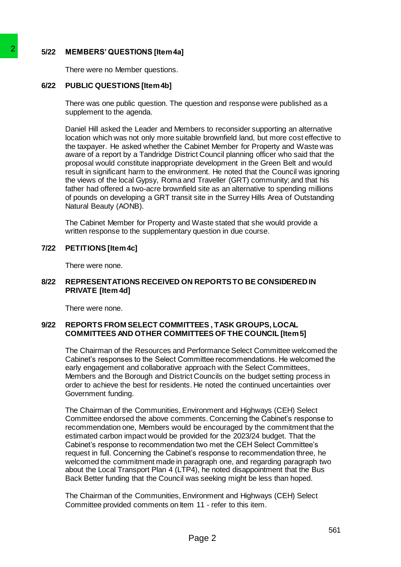## **5/22 MEMBERS' QUESTIONS [Item 4a]**

There were no Member questions.

## **6/22 PUBLIC QUESTIONS [Item 4b]**

There was one public question. The question and response were published as a supplement to the agenda.

Daniel Hill asked the Leader and Members to reconsider supporting an alternative location which was not only more suitable brownfield land, but more cost effective to the taxpayer. He asked whether the Cabinet Member for Property and Waste was aware of a report by a Tandridge District Council planning officer who said that the proposal would constitute inappropriate development in the Green Belt and would result in significant harm to the environment. He noted that the Council was ignoring the views of the local Gypsy, Roma and Traveller (GRT) community; and that his father had offered a two-acre brownfield site as an alternative to spending millions of pounds on developing a GRT transit site in the Surrey Hills Area of Outstanding Natural Beauty (AONB). SCONDINGTRESTIT (NUMBER 2 2001)<br>
There were no Member questions.<br>
SCONDINGTONS (Item 4b)<br>
There were no Member question. The question supplicing and the agents of the agents of the and the action of the model of the standa

The Cabinet Member for Property and Waste stated that she would provide a written response to the supplementary question in due course.

#### **7/22 PETITIONS [Item 4c]**

There were none.

#### **8/22 REPRESENTATIONS RECEIVED ON REPORTS TO BE CONSIDERED IN PRIVATE [Item 4d]**

There were none.

#### **9/22 REPORTS FROM SELECT COMMITTEES , TASK GROUPS, LOCAL COMMITTEES AND OTHER COMMITTEES OF THE COUNCIL [Item 5]**

The Chairman of the Resources and Performance Select Committee welcomed the Cabinet's responses to the Select Committee recommendations. He welcomed the early engagement and collaborative approach with the Select Committees, Members and the Borough and District Councils on the budget setting process in order to achieve the best for residents. He noted the continued uncertainties over Government funding.

The Chairman of the Communities, Environment and Highways (CEH) Select Committee endorsed the above comments. Concerning the Cabinet's response to recommendation one, Members would be encouraged by the commitment that the estimated carbon impact would be provided for the 2023/24 budget. That the Cabinet's response to recommendation two met the CEH Select Committee's request in full. Concerning the Cabinet's response to recommendation three, he welcomed the commitment made in paragraph one, and regarding paragraph two about the Local Transport Plan 4 (LTP4), he noted disappointment that the Bus Back Better funding that the Council was seeking might be less than hoped.

The Chairman of the Communities, Environment and Highways (CEH) Select Committee provided comments on Item 11 - refer to this item.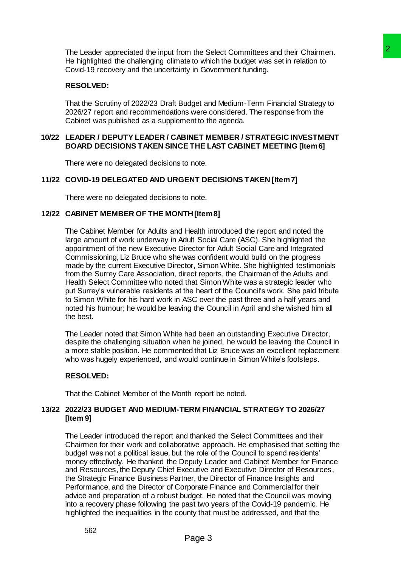The Leader appreciated the input from the Select Committees and their Chairmen. He highlighted the challenging climate to which the budget was set in relation to Covid-19 recovery and the uncertainty in Government funding.

#### **RESOLVED:**

That the Scrutiny of 2022/23 Draft Budget and Medium-Term Financial Strategy to 2026/27 report and recommendations were considered. The response from the Cabinet was published as a supplement to the agenda.

#### **10/22 LEADER / DEPUTY LEADER / CABINET MEMBER / STRATEGIC INVESTMENT BOARD DECISIONS TAKEN SINCE THE LAST CABINET MEETING [Item 6]**

There were no delegated decisions to note.

#### **11/22 COVID-19 DELEGATED AND URGENT DECISIONS TAKEN [Item 7]**

There were no delegated decisions to note.

#### **12/22 CABINET MEMBER OF THE MONTH [Item 8]**

The Cabinet Member for Adults and Health introduced the report and noted the large amount of work underway in Adult Social Care (ASC). She highlighted the appointment of the new Executive Director for Adult Social Care and Integrated Commissioning, Liz Bruce who she was confident would build on the progress made by the current Executive Director, Simon White. She highlighted testimonials from the Surrey Care Association, direct reports, the Chairman of the Adults and Health Select Committee who noted that Simon White was a strategic leader who put Surrey's vulnerable residents at the heart of the Council's work. She paid tribute to Simon White for his hard work in ASC over the past three and a half years and noted his humour; he would be leaving the Council in April and she wished him all the best. m the Select Committees and their Chairmon.<br>The the Select Committees and their Chairmon.<br>It is to which the budget was set in relation to<br>ly in Government funding.<br>Indeed and Medium-Term Financial Strategy to<br>sive the one

The Leader noted that Simon White had been an outstanding Executive Director, despite the challenging situation when he joined, he would be leaving the Council in a more stable position. He commented that Liz Bruce was an excellent replacement who was hugely experienced, and would continue in Simon White's footsteps.

#### **RESOLVED:**

That the Cabinet Member of the Month report be noted.

#### **13/22 2022/23 BUDGET AND MEDIUM-TERM FINANCIAL STRATEGY TO 2026/27 [Item 9]**

The Leader introduced the report and thanked the Select Committees and their Chairmen for their work and collaborative approach. He emphasised that setting the budget was not a political issue, but the role of the Council to spend residents' money effectively. He thanked the Deputy Leader and Cabinet Member for Finance and Resources, the Deputy Chief Executive and Executive Director of Resources, the Strategic Finance Business Partner, the Director of Finance Insights and Performance, and the Director of Corporate Finance and Commercial for their advice and preparation of a robust budget. He noted that the Council was moving into a recovery phase following the past two years of the Covid-19 pandemic. He highlighted the inequalities in the county that must be addressed, and that the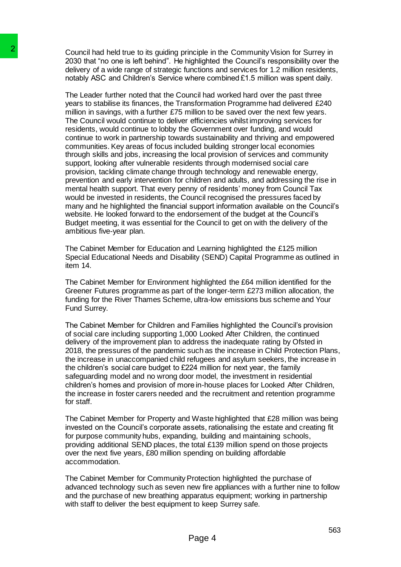Council had held true to its guiding principle in the Community Vision for Surrey in 2030 that "no one is left behind". He highlighted the Council's responsibility over the delivery of a wide range of strategic functions and services for 1.2 million residents, notably ASC and Children's Service where combined £1.5 million was spent daily.

The Leader further noted that the Council had worked hard over the past three years to stabilise its finances, the Transformation Programme had delivered £240 million in savings, with a further £75 million to be saved over the next few years. The Council would continue to deliver efficiencies whilst improving services for residents, would continue to lobby the Government over funding, and would continue to work in partnership towards sustainability and thriving and empowered communities. Key areas of focus included building stronger local economies through skills and jobs, increasing the local provision of services and community support, looking after vulnerable residents through modernised social care provision, tackling climate change through technology and renewable energy, prevention and early intervention for children and adults, and addressing the rise in mental health support. That every penny of residents' money from Council Tax would be invested in residents, the Council recognised the pressures faced by many and he highlighted the financial support information available on the Council's website. He looked forward to the endorsement of the budget at the Council's Budget meeting, it was essential for the Council to get on with the delivery of the ambitious five-year plan. 2<br>Council had had true to its guiding principle in the 200 that on one is left behind? The highlight<br>delivery of a wide range of strategic functions<br>rotably ASC and Children's Service wine condition<br>The Leader further note

The Cabinet Member for Education and Learning highlighted the £125 million Special Educational Needs and Disability (SEND) Capital Programme as outlined in item 14.

The Cabinet Member for Environment highlighted the £64 million identified for the Greener Futures programme as part of the longer-term £273 million allocation, the funding for the River Thames Scheme, ultra-low emissions bus scheme and Your Fund Surrey.

The Cabinet Member for Children and Families highlighted the Council's provision of social care including supporting 1,000 Looked After Children, the continued delivery of the improvement plan to address the inadequate rating by Ofsted in 2018, the pressures of the pandemic such as the increase in Child Protection Plans, the increase in unaccompanied child refugees and asylum seekers, the increase in the children's social care budget to £224 million for next year, the family safeguarding model and no wrong door model, the investment in residential children's homes and provision of more in-house places for Looked After Children, the increase in foster carers needed and the recruitment and retention programme for staff.

The Cabinet Member for Property and Waste highlighted that £28 million was being invested on the Council's corporate assets, rationalising the estate and creating fit for purpose community hubs, expanding, building and maintaining schools, providing additional SEND places, the total £139 million spend on those projects over the next five years, £80 million spending on building affordable accommodation.

The Cabinet Member for Community Protection highlighted the purchase of advanced technology such as seven new fire appliances with a further nine to follow and the purchase of new breathing apparatus equipment; working in partnership with staff to deliver the best equipment to keep Surrey safe.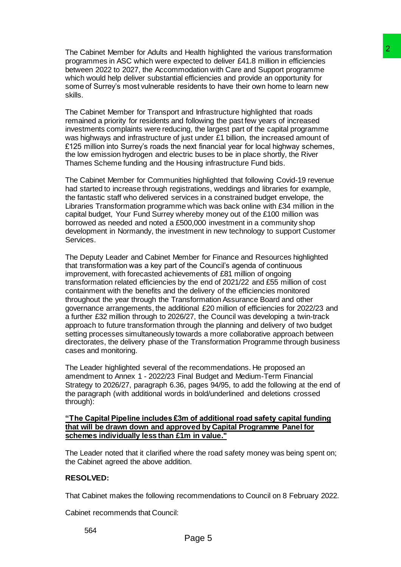The Cabinet Member for Adults and Health highlighted the various transformation programmes in ASC which were expected to deliver £41.8 million in efficiencies between 2022 to 2027, the Accommodation with Care and Support programme which would help deliver substantial efficiencies and provide an opportunity for some of Surrey's most vulnerable residents to have their own home to learn new skills.

The Cabinet Member for Transport and Infrastructure highlighted that roads remained a priority for residents and following the past few years of increased investments complaints were reducing, the largest part of the capital programme was highways and infrastructure of just under £1 billion, the increased amount of £125 million into Surrey's roads the next financial year for local highway schemes, the low emission hydrogen and electric buses to be in place shortly, the River Thames Scheme funding and the Housing infrastructure Fund bids.

The Cabinet Member for Communities highlighted that following Covid-19 revenue had started to increase through registrations, weddings and libraries for example, the fantastic staff who delivered services in a constrained budget envelope, the Libraries Transformation programme which was back online with £34 million in the capital budget, Your Fund Surrey whereby money out of the £100 million was borrowed as needed and noted a £500,000 investment in a community shop development in Normandy, the investment in new technology to support Customer Services.

The Deputy Leader and Cabinet Member for Finance and Resources highlighted that transformation was a key part of the Council's agenda of continuous improvement, with forecasted achievements of £81 million of ongoing transformation related efficiencies by the end of 2021/22 and £55 million of cost containment with the benefits and the delivery of the efficiencies monitored throughout the year through the Transformation Assurance Board and other governance arrangements, the additional £20 million of efficiencies for 2022/23 and a further £32 million through to 2026/27, the Council was developing a twin-track approach to future transformation through the planning and delivery of two budget setting processes simultaneously towards a more collaborative approach between directorates, the delivery phase of the Transformation Programme through business cases and monitoring. Health highlighted the various transformation<br>ected to deliver £41.8 million in efficiencies<br>ected to deliver £41.8 million in efficiencies<br>efficiencies and Support programme<br>efficiencies and provide an opportunity for<br>eff

The Leader highlighted several of the recommendations. He proposed an amendment to Annex 1 - 2022/23 Final Budget and Medium-Term Financial Strategy to 2026/27, paragraph 6.36, pages 94/95, to add the following at the end of the paragraph (with additional words in bold/underlined and deletions crossed through):

#### **"The Capital Pipeline includes £3m of additional road safety capital funding that will be drawn down and approved by Capital Programme Panel for schemes individually less than £1m in value."**

The Leader noted that it clarified where the road safety money was being spent on; the Cabinet agreed the above addition.

#### **RESOLVED:**

That Cabinet makes the following recommendations to Council on 8 February 2022.

Cabinet recommends that Council: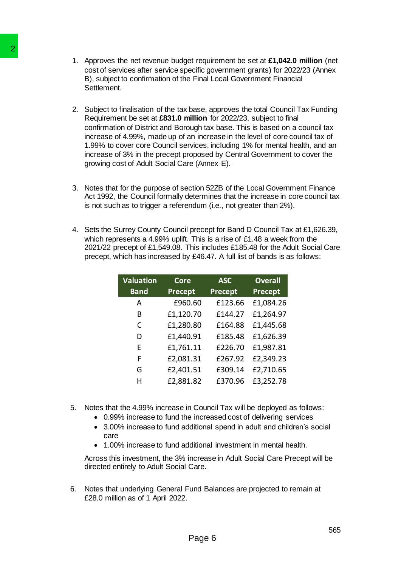- 1. Approves the net revenue budget requirement be set at **£1,042.0 million** (net cost of services after service specific government grants) for 2022/23 (Annex B), subject to confirmation of the Final Local Government Financial Settlement.
- 2. Subject to finalisation of the tax base, approves the total Council Tax Funding Requirement be set at **£831.0 million** for 2022/23, subject to final confirmation of District and Borough tax base. This is based on a council tax increase of 4.99%, made up of an increase in the level of core council tax of 1.99% to cover core Council services, including 1% for mental health, and an increase of 3% in the precept proposed by Central Government to cover the growing cost of Adult Social Care (Annex E).
- 3. Notes that for the purpose of section 52ZB of the Local Government Finance Act 1992, the Council formally determines that the increase in core council tax is not such as to trigger a referendum (i.e., not greater than 2%).
- 4. Sets the Surrey County Council precept for Band D Council Tax at £1,626.39, which represents a 4.99% uplift. This is a rise of £1.48 a week from the 2021/22 precept of £1,549.08. This includes £185.48 for the Adult Social Care precept, which has increased by £46.47. A full list of bands is as follows:

| $\overline{2}$ |    |                                                                                                                                                                                                                                                                                                                                                                                                                                                                |                |            |                   |
|----------------|----|----------------------------------------------------------------------------------------------------------------------------------------------------------------------------------------------------------------------------------------------------------------------------------------------------------------------------------------------------------------------------------------------------------------------------------------------------------------|----------------|------------|-------------------|
|                |    | 1. Approves the net revenue budget requirement be set at £1,042<br>cost of services after service specific government grants) for 20<br>B), subject to confirmation of the Final Local Government Finar<br>Settlement.                                                                                                                                                                                                                                         |                |            |                   |
|                |    | 2. Subject to finalisation of the tax base, approves the total Cound<br>Requirement be set at £831.0 million for 2022/23, subject to fill<br>confirmation of District and Borough tax base. This is based on<br>increase of 4.99%, made up of an increase in the level of core<br>1.99% to cover core Council services, including 1% for mental<br>increase of 3% in the precept proposed by Central Governmen<br>growing cost of Adult Social Care (Annex E). |                |            |                   |
|                |    | 3. Notes that for the purpose of section 52ZB of the Local Govern<br>Act 1992, the Council formally determines that the increase in o<br>is not such as to trigger a referendum (i.e., not greater than 2%                                                                                                                                                                                                                                                     |                |            |                   |
|                |    | 4. Sets the Surrey County Council precept for Band D Council Tar<br>which represents a 4.99% uplift. This is a rise of £1.48 a week<br>2021/22 precept of £1,549.08. This includes £185.48 for the Ac<br>precept, which has increased by £46.47. A full list of bands is a                                                                                                                                                                                     |                |            |                   |
|                |    | <b>Valuation</b>                                                                                                                                                                                                                                                                                                                                                                                                                                               | <b>Core</b>    | <b>ASC</b> | <b>Overall</b>    |
|                |    | Band                                                                                                                                                                                                                                                                                                                                                                                                                                                           | <b>Precept</b> | Precept    | Precept           |
|                |    | A                                                                                                                                                                                                                                                                                                                                                                                                                                                              | £960.60        | £123.66    | £1,084.26         |
|                |    | B                                                                                                                                                                                                                                                                                                                                                                                                                                                              | £1,120.70      | £144.27    | £1,264.97         |
|                |    | C                                                                                                                                                                                                                                                                                                                                                                                                                                                              | £1,280.80      | £164.88    | £1,445.68         |
|                |    | D                                                                                                                                                                                                                                                                                                                                                                                                                                                              | £1,440.91      | £185.48    | £1,626.39         |
|                |    | E                                                                                                                                                                                                                                                                                                                                                                                                                                                              | £1,761.11      | £226.70    | £1,987.81         |
|                |    | F                                                                                                                                                                                                                                                                                                                                                                                                                                                              | £2,081.31      |            | £267.92 £2,349.23 |
|                |    | G                                                                                                                                                                                                                                                                                                                                                                                                                                                              | £2,401.51      |            | £309.14 £2,710.65 |
|                |    | Н                                                                                                                                                                                                                                                                                                                                                                                                                                                              | £2,881.82      | £370.96    | £3,252.78         |
|                | 5. | Notes that the 4.99% increase in Council Tax will be deployed<br>0.99% increase to fund the increased cost of delivering s<br>3.00% increase to fund additional spend in adult and child<br>care<br>1.00% increase to fund additional investment in mental h                                                                                                                                                                                                   |                |            |                   |
|                |    | Across this investment, the 3% increase in Adult Social Care P<br>directed entirely to Adult Social Care.                                                                                                                                                                                                                                                                                                                                                      |                |            |                   |
|                | 6. | Notes that underlying General Fund Balances are projected to<br>£28.0 million as of 1 April 2022.                                                                                                                                                                                                                                                                                                                                                              |                |            |                   |
|                |    |                                                                                                                                                                                                                                                                                                                                                                                                                                                                | Page 6         |            |                   |

- 5. Notes that the 4.99% increase in Council Tax will be deployed as follows:
	- 0.99% increase to fund the increased cost of delivering services
	- 3.00% increase to fund additional spend in adult and children's social care
	- 1.00% increase to fund additional investment in mental health.

Across this investment, the 3% increase in Adult Social Care Precept will be directed entirely to Adult Social Care.

6. Notes that underlying General Fund Balances are projected to remain at £28.0 million as of 1 April 2022.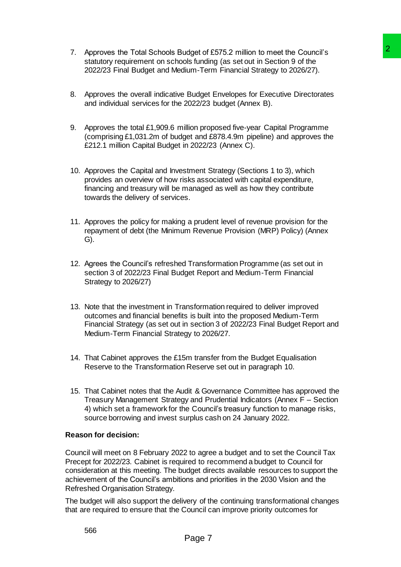- 7. Approves the Total Schools Budget of £575.2 million to meet the Council's statutory requirement on schools funding (as set out in Section 9 of the 2022/23 Final Budget and Medium-Term Financial Strategy to 2026/27).
- 8. Approves the overall indicative Budget Envelopes for Executive Directorates and individual services for the 2022/23 budget (Annex B).
- 9. Approves the total £1,909.6 million proposed five-year Capital Programme (comprising £1,031.2m of budget and £878.4.9m pipeline) and approves the £212.1 million Capital Budget in 2022/23 (Annex C).
- 10. Approves the Capital and Investment Strategy (Sections 1 to 3), which provides an overview of how risks associated with capital expenditure, financing and treasury will be managed as well as how they contribute towards the delivery of services.
- 11. Approves the policy for making a prudent level of revenue provision for the repayment of debt (the Minimum Revenue Provision (MRP) Policy) (Annex G).
- 12. Agrees the Council's refreshed Transformation Programme (as set out in section 3 of 2022/23 Final Budget Report and Medium-Term Financial Strategy to 2026/27)
- 13. Note that the investment in Transformation required to deliver improved outcomes and financial benefits is built into the proposed Medium-Term Financial Strategy (as set out in section 3 of 2022/23 Final Budget Report and Medium-Term Financial Strategy to 2026/27.
- 14. That Cabinet approves the £15m transfer from the Budget Equalisation Reserve to the Transformation Reserve set out in paragraph 10.
- 15. That Cabinet notes that the Audit & Governance Committee has approved the Treasury Management Strategy and Prudential Indicators (Annex F – Section 4) which set a framework for the Council's treasury function to manage risks, source borrowing and invest surplus cash on 24 January 2022.

#### **Reason for decision:**

Council will meet on 8 February 2022 to agree a budget and to set the Council Tax Precept for 2022/23. Cabinet is required to recommend a budget to Council for consideration at this meeting. The budget directs available resources to support the achievement of the Council's ambitions and priorities in the 2030 Vision and the Refreshed Organisation Strategy. udget of £575.2 million to meet the Council's<br>als funding (as set out in Section 9 of the Bounding Tas set out in Section 9 of the<br>Burn-Term Financial Strategy to 2026/27).<br>Budget Envielpoes for Executive Directorates<br>2022

The budget will also support the delivery of the continuing transformational changes that are required to ensure that the Council can improve priority outcomes for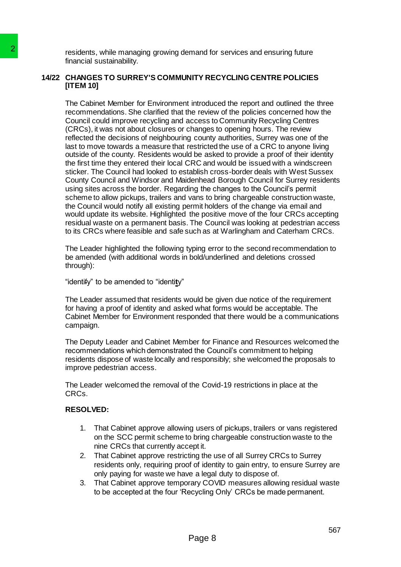residents, while managing growing demand for services and ensuring future financial sustainability.

#### **14/22 CHANGES TO SURREY'S COMMUNITY RECYCLING CENTRE POLICIES [ITEM 10]**

The Cabinet Member for Environment introduced the report and outlined the three recommendations. She clarified that the review of the policies concerned how the Council could improve recycling and access to Community Recycling Centres (CRCs), it was not about closures or changes to opening hours. The review reflected the decisions of neighbouring county authorities, Surrey was one of the last to move towards a measure that restricted the use of a CRC to anyone living outside of the county. Residents would be asked to provide a proof of their identity the first time they entered their local CRC and would be issued with a windscreen sticker. The Council had looked to establish cross-border deals with West Sussex County Council and Windsor and Maidenhead Borough Council for Surrey residents using sites across the border. Regarding the changes to the Council's permit scheme to allow pickups, trailers and vans to bring chargeable construction waste, the Council would notify all existing permit holders of the change via email and would update its website. Highlighted the positive move of the four CRCs accepting residual waste on a permanent basis. The Council was looking at pedestrian access to its CRCs where feasible and safe such as at Warlingham and Caterham CRCs. 2<br>
residents, while managing growing demand fo<br>
francial sustainability.<br>
THEM 10]<br>
The Cabinet Member for Environment introductor<br>
TIFEM 10]<br>
The Cabinet Member for Environment introductor<br>
recommendations. She clarified

The Leader highlighted the following typing error to the second recommendation to be amended (with additional words in bold/underlined and deletions crossed through):

"identify" to be amended to "identi**t**y"

The Leader assumed that residents would be given due notice of the requirement for having a proof of identity and asked what forms would be acceptable. The Cabinet Member for Environment responded that there would be a communications campaign.

The Deputy Leader and Cabinet Member for Finance and Resources welcomed the recommendations which demonstrated the Council's commitment to helping residents dispose of waste locally and responsibly; she welcomed the proposals to improve pedestrian access.

The Leader welcomed the removal of the Covid-19 restrictions in place at the CRCs.

#### **RESOLVED:**

- 1. That Cabinet approve allowing users of pickups, trailers or vans registered on the SCC permit scheme to bring chargeable construction waste to the nine CRCs that currently accept it.
- 2. That Cabinet approve restricting the use of all Surrey CRCs to Surrey residents only, requiring proof of identity to gain entry, to ensure Surrey are only paying for waste we have a legal duty to dispose of.
- 3. That Cabinet approve temporary COVID measures allowing residual waste to be accepted at the four 'Recycling Only' CRCs be made permanent.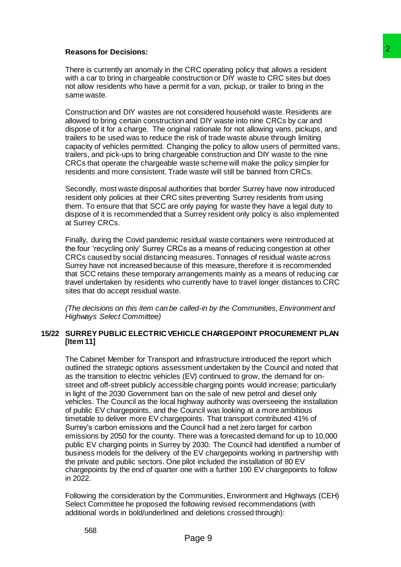#### **Reasons for Decisions:**

There is currently an anomaly in the CRC operating policy that allows a resident with a car to bring in chargeable construction or DIY waste to CRC sites but does not allow residents who have a permit for a van, pickup, or trailer to bring in the same waste.

Construction and DIY wastes are not considered household waste. Residents are allowed to bring certain construction and DIY waste into nine CRCs by car and dispose of it for a charge. The original rationale for not allowing vans, pickups, and trailers to be used was to reduce the risk of trade waste abuse through limiting capacity of vehicles permitted. Changing the policy to allow users of permitted vans, trailers, and pick-ups to bring chargeable construction and DIY waste to the nine CRCs that operate the chargeable waste scheme will make the policy simpler for residents and more consistent. Trade waste will still be banned from CRCs.

Secondly, most waste disposal authorities that border Surrey have now introduced resident only policies at their CRC sites preventing Surrey residents from using them. To ensure that that SCC are only paying for waste they have a legal duty to dispose of it is recommended that a Surrey resident only policy is also implemented at Surrey CRCs.

Finally, during the Covid pandemic residual waste containers were reintroduced at the four 'recycling only' Surrey CRCs as a means of reducing congestion at other CRCs caused by social distancing measures. Tonnages of residual waste across Surrey have not increased because of this measure, therefore it is recommended that SCC retains these temporary arrangements mainly as a means of reducing car travel undertaken by residents who currently have to travel longer distances to CRC sites that do accept residual waste.

*(The decisions on this item can be called-in by the Communities, Environment and Highways Select Committee)*

#### **15/22 SURREY PUBLIC ELECTRIC VEHICLE CHARGEPOINT PROCUREMENT PLAN [Item 11]**

The Cabinet Member for Transport and Infrastructure introduced the report which outlined the strategic options assessment undertaken by the Council and noted that as the transition to electric vehicles (EV) continued to grow, the demand for onstreet and off-street publicly accessible charging points would increase; particularly in light of the 2030 Government ban on the sale of new petrol and diesel only vehicles. The Council as the local highway authority was overseeing the installation of public EV chargepoints, and the Council was looking at a more ambitious timetable to deliver more EV chargepoints. That transport contributed 41% of Surrey's carbon emissions and the Council had a net zero target for carbon emissions by 2050 for the county. There was a forecasted demand for up to 10,000 public EV charging points in Surrey by 2030. The Council had identified a number of business models for the delivery of the EV chargepoints working in partnership with the private and public sectors. One pilot included the installation of 80 EV chargepoints by the end of quarter one with a further 100 EV chargepoints to follow in 2022. CRC operating policy that allows a resident<br>struction or DiY waste to CRC sites but does<br>struction or DiY waste to CRC sites but does<br>tit for a van, pickup, or trailer to bring in the<br>considered household waste. Residents

Following the consideration by the Communities, Environment and Highways (CEH) Select Committee he proposed the following revised recommendations (with additional words in bold/underlined and deletions crossed through):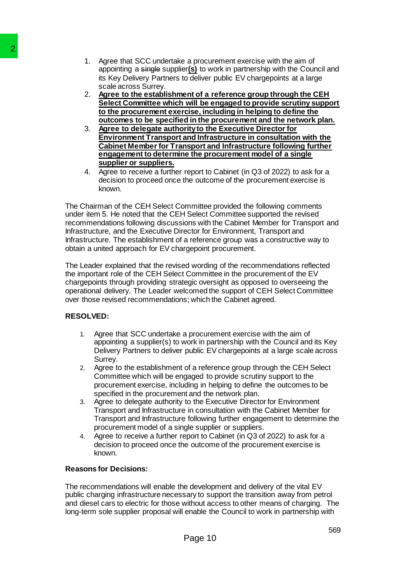- 1. Agree that SCC undertake a procurement exercise with the aim of appointing a single supplier**(s)** to work in partnership with the Council and its Key Delivery Partners to deliver public EV chargepoints at a large scale across Surrey.
- 2. **Agree to the establishment of a reference group through the CEH Select Committee which will be engaged to provide scrutiny support to the procurement exercise, including in helping to define the outcomes to be specified in the procurement and the network plan.**
- 3. **Agree to delegate authority to the Executive Director for Environment Transport and Infrastructure in consultation with the Cabinet Member for Transport and Infrastructure following further engagement to determine the procurement model of a single supplier or suppliers.**
- 4. Agree to receive a further report to Cabinet (in Q3 of 2022) to ask for a decision to proceed once the outcome of the procurement exercise is known.

The Chairman of the CEH Select Committee provided the following comments under item 5. He noted that the CEH Select Committee supported the revised recommendations following discussions with the Cabinet Member for Transport and Infrastructure, and the Executive Director for Environment, Transport and Infrastructure. The establishment of a reference group was a constructive way to obtain a united approach for EV chargepoint procurement. 2<br>
1. Agree that SCC undertake a procure as kief to younding a skief supplifierty to we include a proprint in the youndary scales across Survey Partners to deliver 2. Agree to the establishment of a result of the procureme

The Leader explained that the revised wording of the recommendations reflected the important role of the CEH Select Committee in the procurement of the EV chargepoints through providing strategic oversight as opposed to overseeing the operational delivery. The Leader welcomed the support of CEH Select Committee over those revised recommendations; which the Cabinet agreed.

## **RESOLVED:**

- 1. Agree that SCC undertake a procurement exercise with the aim of appointing a supplier(s) to work in partnership with the Council and its Key Delivery Partners to deliver public EV chargepoints at a large scale across Surrey.
- 2. Agree to the establishment of a reference group through the CEH Select Committee which will be engaged to provide scrutiny support to the procurement exercise, including in helping to define the outcomes to be specified in the procurement and the network plan.
- 3. Agree to delegate authority to the Executive Director for Environment Transport and Infrastructure in consultation with the Cabinet Member for Transport and Infrastructure following further engagement to determine the procurement model of a single supplier or suppliers.
- 4. Agree to receive a further report to Cabinet (in Q3 of 2022) to ask for a decision to proceed once the outcome of the procurement exercise is known.

## **Reasons for Decisions:**

The recommendations will enable the development and delivery of the vital EV public charging infrastructure necessary to support the transition away from petrol and diesel cars to electric for those without access to other means of charging. The long-term sole supplier proposal will enable the Council to work in partnership with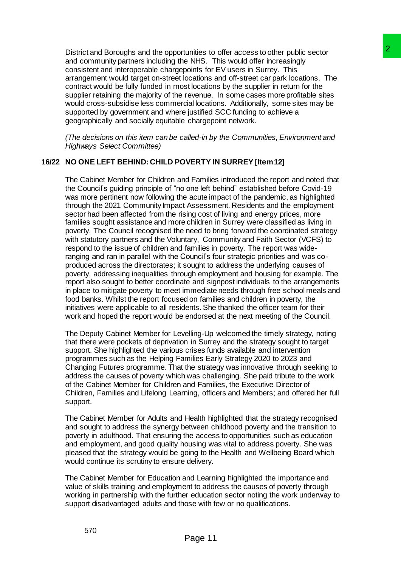District and Boroughs and the opportunities to offer access to other public sector and community partners including the NHS. This would offer increasingly consistent and interoperable chargepoints for EV users in Surrey. This arrangement would target on-street locations and off-street car park locations. The contract would be fully funded in most locations by the supplier in return for the supplier retaining the majority of the revenue. In some cases more profitable sites would cross-subsidise less commercial locations. Additionally, some sites may be supported by government and where justified SCC funding to achieve a geographically and socially equitable chargepoint network.

*(The decisions on this item can be called-in by the Communities, Environment and Highways Select Committee)*

#### **16/22 NO ONE LEFT BEHIND: CHILD POVERTY IN SURREY [Item 12]**

The Cabinet Member for Children and Families introduced the report and noted that the Council's guiding principle of "no one left behind" established before Covid-19 was more pertinent now following the acute impact of the pandemic, as highlighted through the 2021 Community Impact Assessment. Residents and the employment sector had been affected from the rising cost of living and energy prices, more families sought assistance and more children in Surrey were classified as living in poverty. The Council recognised the need to bring forward the coordinated strategy with statutory partners and the Voluntary, Community and Faith Sector (VCFS) to respond to the issue of children and families in poverty. The report was wideranging and ran in parallel with the Council's four strategic priorities and was coproduced across the directorates; it sought to address the underlying causes of poverty, addressing inequalities through employment and housing for example. The report also sought to better coordinate and signpost individuals to the arrangements in place to mitigate poverty to meet immediate needs through free school meals and food banks. Whilst the report focused on families and children in poverty, the initiatives were applicable to all residents. She thanked the officer team for their work and hoped the report would be endorsed at the next meeting of the Council. unitates to offer acceasts to other acceasingly<br>solicity. This would offer increasingly<br>coints on the U. verse's no Surrey. This<br>cocalions and off-street carpant locations. The<br>strochands of the surrey in Surrey. This<br>coca

The Deputy Cabinet Member for Levelling-Up welcomed the timely strategy, noting that there were pockets of deprivation in Surrey and the strategy sought to target support. She highlighted the various crises funds available and intervention programmes such as the Helping Families Early Strategy 2020 to 2023 and Changing Futures programme. That the strategy was innovative through seeking to address the causes of poverty which was challenging. She paid tribute to the work of the Cabinet Member for Children and Families, the Executive Director of Children, Families and Lifelong Learning, officers and Members; and offered her full support.

The Cabinet Member for Adults and Health highlighted that the strategy recognised and sought to address the synergy between childhood poverty and the transition to poverty in adulthood. That ensuring the access to opportunities such as education and employment, and good quality housing was vital to address poverty. She was pleased that the strategy would be going to the Health and Wellbeing Board which would continue its scrutiny to ensure delivery.

The Cabinet Member for Education and Learning highlighted the importance and value of skills training and employment to address the causes of poverty through working in partnership with the further education sector noting the work underway to support disadvantaged adults and those with few or no qualifications.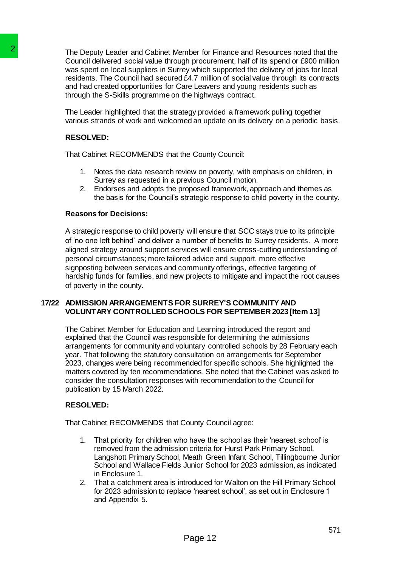The Deputy Leader and Cabinet Member for Finance and Resources noted that the Council delivered social value through procurement, half of its spend or £900 million was spent on local suppliers in Surrey which supported the delivery of jobs for local residents. The Council had secured £4.7 million of social value through its contracts and had created opportunities for Care Leavers and young residents such as through the S-Skills programme on the highways contract.

The Leader highlighted that the strategy provided a framework pulling together various strands of work and welcomed an update on its delivery on a periodic basis.

# **RESOLVED:**

That Cabinet RECOMMENDS that the County Council:

- 1. Notes the data research review on poverty, with emphasis on children, in Surrey as requested in a previous Council motion.
- 2. Endorses and adopts the proposed framework, approach and themes as the basis for the Council's strategic response to child poverty in the county.

#### **Reasons for Decisions:**

A strategic response to child poverty will ensure that SCC stays true to its principle of 'no one left behind' and deliver a number of benefits to Surrey residents. A more aligned strategy around support services will ensure cross-cutting understanding of personal circumstances; more tailored advice and support, more effective signposting between services and community offerings, effective targeting of hardship funds for families, and new projects to mitigate and impact the root causes of poverty in the county.

#### **17/22 ADMISSION ARRANGEMENTS FOR SURREY'S COMMUNITY AND VOLUNTARY CONTROLLED SCHOOLS FOR SEPTEMBER 2023 [Item 13]**

The Cabinet Member for Education and Learning introduced the report and explained that the Council was responsible for determining the admissions arrangements for community and voluntary controlled schools by 28 February each year. That following the statutory consultation on arrangements for September 2023, changes were being recommended for specific schools. She highlighted the matters covered by ten recommendations. She noted that the Cabinet was asked to consider the consultation responses with recommendation to the Council for publication by 15 March 2022. The Deputy Leader and Cabinet Mamber for Expanding to Council delivered social value through procure<br>was spent on local suppliers in Surrey which spectra residents. The Council had secured £47 millions and had created oppo

## **RESOLVED:**

That Cabinet RECOMMENDS that County Council agree:

- 1. That priority for children who have the school as their 'nearest school' is removed from the admission criteria for Hurst Park Primary School, Langshott Primary School, Meath Green Infant School, Tillingbourne Junior School and Wallace Fields Junior School for 2023 admission, as indicated in Enclosure 1.
- 2. That a catchment area is introduced for Walton on the Hill Primary School for 2023 admission to replace 'nearest school', as set out in Enclosure 1 and Appendix 5.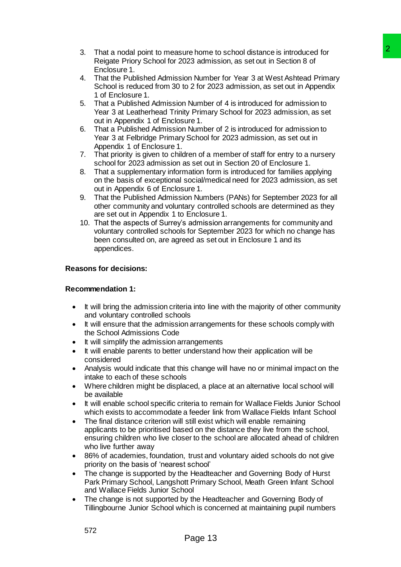- 3. That a nodal point to measure home to school distance is introduced for Reigate Priory School for 2023 admission, as set out in Section 8 of Enclosure 1.
- 4. That the Published Admission Number for Year 3 at West Ashtead Primary School is reduced from 30 to 2 for 2023 admission, as set out in Appendix 1 of Enclosure 1.
- 5. That a Published Admission Number of 4 is introduced for admission to Year 3 at Leatherhead Trinity Primary School for 2023 admission, as set out in Appendix 1 of Enclosure 1.
- 6. That a Published Admission Number of 2 is introduced for admission to Year 3 at Felbridge Primary School for 2023 admission, as set out in Appendix 1 of Enclosure 1.
- 7. That priority is given to children of a member of staff for entry to a nursery school for 2023 admission as set out in Section 20 of Enclosure 1.
- 8. That a supplementary information form is introduced for families applying on the basis of exceptional social/medical need for 2023 admission, as set out in Appendix 6 of Enclosure 1.
- 9. That the Published Admission Numbers (PANs) for September 2023 for all other community and voluntary controlled schools are determined as they are set out in Appendix 1 to Enclosure 1.
- 10. That the aspects of Surrey's admission arrangements for community and voluntary controlled schools for September 2023 for which no change has been consulted on, are agreed as set out in Enclosure 1 and its appendices.

#### **Reasons for decisions:**

#### **Recommendation 1:**

- It will bring the admission criteria into line with the majority of other community and voluntary controlled schools
- It will ensure that the admission arrangements for these schools comply with the School Admissions Code
- It will simplify the admission arrangements
- It will enable parents to better understand how their application will be considered
- Analysis would indicate that this change will have no or minimal impact on the intake to each of these schools
- Where children might be displaced, a place at an alternative local school will be available
- It will enable school specific criteria to remain for Wallace Fields Junior School which exists to accommodate a feeder link from Wallace Fields Infant School
- The final distance criterion will still exist which will enable remaining applicants to be prioritised based on the distance they live from the school, ensuring children who live closer to the school are allocated ahead of children who live further away are home to school distance is introduced for<br>are home to school distance is introduced for<br>223 admission, as set out in Section 3 of<br>on Number for Year 3 at West Ashtead Primary<br>o 2 for 2023 admission, as set out in Appen
- 86% of academies, foundation, trust and voluntary aided schools do not give priority on the basis of 'nearest school'
- The change is supported by the Headteacher and Governing Body of Hurst Park Primary School, Langshott Primary School, Meath Green Infant School and Wallace Fields Junior School
- The change is not supported by the Headteacher and Governing Body of Tillingbourne Junior School which is concerned at maintaining pupil numbers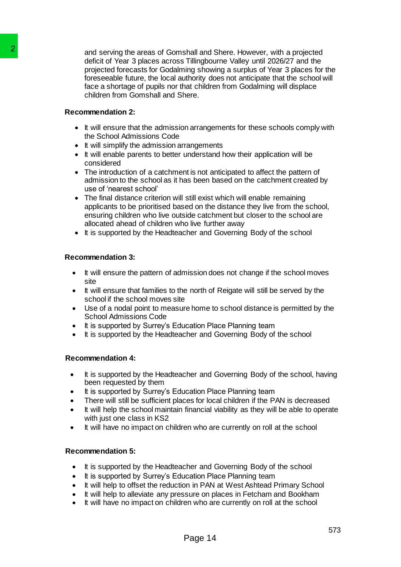and serving the areas of Gomshall and Shere. However, with a projected deficit of Year 3 places across Tillingbourne Valley until 2026/27 and the projected forecasts for Godalming showing a surplus of Year 3 places for the foreseeable future, the local authority does not anticipate that the school will face a shortage of pupils nor that children from Godalming will displace children from Gomshall and Shere. 2<br>
and serving the areas of Gomshall and Sove<br>
deficit of Year 3 places across Tillingbou<br>
projected forecasts for Godalming show<br>
from Gomshall and Shere.<br>
The constrained she can be a shortage of puplis nor that childre

#### **Recommendation 2:**

- It will ensure that the admission arrangements for these schools comply with the School Admissions Code
- It will simplify the admission arrangements
- It will enable parents to better understand how their application will be considered
- The introduction of a catchment is not anticipated to affect the pattern of admission to the school as it has been based on the catchment created by use of 'nearest school'
- The final distance criterion will still exist which will enable remaining applicants to be prioritised based on the distance they live from the school, ensuring children who live outside catchment but closer to the school are allocated ahead of children who live further away
- It is supported by the Headteacher and Governing Body of the school

#### **Recommendation 3:**

- It will ensure the pattern of admission does not change if the school moves site
- It will ensure that families to the north of Reigate will still be served by the school if the school moves site
- Use of a nodal point to measure home to school distance is permitted by the School Admissions Code
- It is supported by Surrey's Education Place Planning team
- It is supported by the Headteacher and Governing Body of the school

#### **Recommendation 4:**

- It is supported by the Headteacher and Governing Body of the school, having been requested by them
- It is supported by Surrey's Education Place Planning team
- There will still be sufficient places for local children if the PAN is decreased
- It will help the school maintain financial viability as they will be able to operate with just one class in KS2
- It will have no impact on children who are currently on roll at the school

## **Recommendation 5:**

- It is supported by the Headteacher and Governing Body of the school
- It is supported by Surrey's Education Place Planning team
- It will help to offset the reduction in PAN at West Ashtead Primary School
- It will help to alleviate any pressure on places in Fetcham and Bookham
- It will have no impact on children who are currently on roll at the school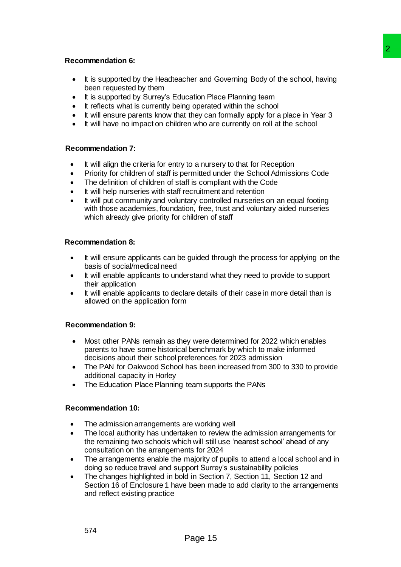## **Recommendation 6:**

- It is supported by the Headteacher and Governing Body of the school, having been requested by them
- It is supported by Surrey's Education Place Planning team
- It reflects what is currently being operated within the school
- It will ensure parents know that they can formally apply for a place in Year 3
- It will have no impact on children who are currently on roll at the school

# **Recommendation 7:**

- It will align the criteria for entry to a nursery to that for Reception
- Priority for children of staff is permitted under the School Admissions Code
- The definition of children of staff is compliant with the Code
- It will help nurseries with staff recruitment and retention
- It will put community and voluntary controlled nurseries on an equal footing with those academies, foundation, free, trust and voluntary aided nurseries which already give priority for children of staff

# **Recommendation 8:**

- It will ensure applicants can be guided through the process for applying on the basis of social/medical need
- It will enable applicants to understand what they need to provide to support their application
- It will enable applicants to declare details of their case in more detail than is allowed on the application form

# **Recommendation 9:**

- Most other PANs remain as they were determined for 2022 which enables parents to have some historical benchmark by which to make informed decisions about their school preferences for 2023 admission
- The PAN for Oakwood School has been increased from 300 to 330 to provide additional capacity in Horley
- The Education Place Planning team supports the PANs

# **Recommendation 10:**

- The admission arrangements are working well
- The local authority has undertaken to review the admission arrangements for the remaining two schools which will still use 'nearest school' ahead of any consultation on the arrangements for 2024 2<br>
Their and Governing Body of the school, having<br>
a goperated within the school<br>
they can lormally apply for a place in Year 3<br>
an who are currently apply for a place in Year 3<br>
to a nursery to that for Reception<br>
to a nu
- The arrangements enable the majority of pupils to attend a local school and in doing so reduce travel and support Surrey's sustainability policies
- The changes highlighted in bold in Section 7, Section 11, Section 12 and Section 16 of Enclosure 1 have been made to add clarity to the arrangements and reflect existing practice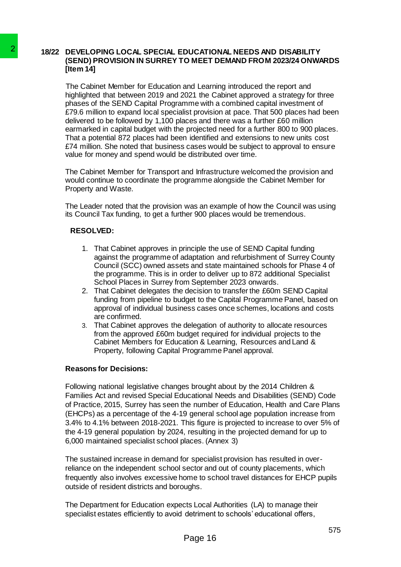#### **18/22 DEVELOPING LOCAL SPECIAL EDUCATIONAL NEEDS AND DISABILITY (SEND) PROVISION IN SURREY TO MEET DEMAND FROM 2023/24 ONWARDS [Item 14]**

The Cabinet Member for Education and Learning introduced the report and highlighted that between 2019 and 2021 the Cabinet approved a strategy for three phases of the SEND Capital Programme with a combined capital investment of £79.6 million to expand local specialist provision at pace. That 500 places had been delivered to be followed by 1,100 places and there was a further £60 million earmarked in capital budget with the projected need for a further 800 to 900 places. That a potential 872 places had been identified and extensions to new units cost £74 million. She noted that business cases would be subject to approval to ensure value for money and spend would be distributed over time. 2<br>
2 DEVELOPING LOCAL SPECIAL EDUCATION<br>
(SEND) PROVISION IN SURREY TO MEET INTO THE CROND (Item 14]<br>
The Cabinel Members for Education and Learn<br>
inghighted that between 2019 and 2021 the C<br>
phases of the SEND Ceptal Prog

The Cabinet Member for Transport and Infrastructure welcomed the provision and would continue to coordinate the programme alongside the Cabinet Member for Property and Waste.

The Leader noted that the provision was an example of how the Council was using its Council Tax funding, to get a further 900 places would be tremendous.

#### **RESOLVED:**

- 1. That Cabinet approves in principle the use of SEND Capital funding against the programme of adaptation and refurbishment of Surrey County Council (SCC) owned assets and state maintained schools for Phase 4 of the programme. This is in order to deliver up to 872 additional Specialist School Places in Surrey from September 2023 onwards.
- 2. That Cabinet delegates the decision to transfer the £60m SEND Capital funding from pipeline to budget to the Capital Programme Panel, based on approval of individual business cases once schemes, locations and costs are confirmed.
- 3. That Cabinet approves the delegation of authority to allocate resources from the approved £60m budget required for individual projects to the Cabinet Members for Education & Learning, Resources and Land & Property, following Capital Programme Panel approval.

#### **Reasons for Decisions:**

Following national legislative changes brought about by the 2014 Children & Families Act and revised Special Educational Needs and Disabilities (SEND) Code of Practice, 2015, Surrey has seen the number of Education, Health and Care Plans (EHCPs) as a percentage of the 4-19 general school age population increase from 3.4% to 4.1% between 2018-2021. This figure is projected to increase to over 5% of the 4-19 general population by 2024, resulting in the projected demand for up to 6,000 maintained specialist school places. (Annex 3)

The sustained increase in demand for specialist provision has resulted in overreliance on the independent school sector and out of county placements, which frequently also involves excessive home to school travel distances for EHCP pupils outside of resident districts and boroughs.

The Department for Education expects Local Authorities (LA) to manage their specialist estates efficiently to avoid detriment to schools' educational offers,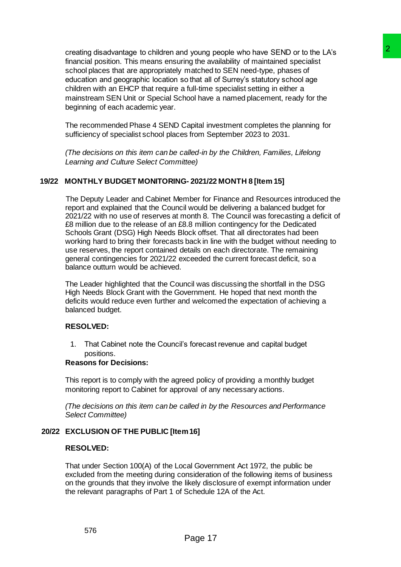creating disadvantage to children and young people who have SEND or to the LA's financial position. This means ensuring the availability of maintained specialist school places that are appropriately matched to SEN need-type, phases of education and geographic location so that all of Surrey's statutory school age children with an EHCP that require a full-time specialist setting in either a mainstream SEN Unit or Special School have a named placement, ready for the beginning of each academic year.

The recommended Phase 4 SEND Capital investment completes the planning for sufficiency of specialist school places from September 2023 to 2031.

*(The decisions on this item can be called-in by the Children, Families, Lifelong Learning and Culture Select Committee)*

#### **19/22 MONTHLY BUDGET MONITORING- 2021/22 MONTH 8 [Item 15]**

The Deputy Leader and Cabinet Member for Finance and Resources introduced the report and explained that the Council would be delivering a balanced budget for 2021/22 with no use of reserves at month 8. The Council was forecasting a deficit of £8 million due to the release of an £8.8 million contingency for the Dedicated Schools Grant (DSG) High Needs Block offset. That all directorates had been working hard to bring their forecasts back in line with the budget without needing to use reserves, the report contained details on each directorate. The remaining general contingencies for 2021/22 exceeded the current forecast deficit, so a balance outturn would be achieved. d young people who have SEND or to the LA's<br>
ng the availability of maintained specialist<br>
matched to SEN need-type, phases of<br>
o that all of Surrey is statutory school age<br>
o that all of Surrey is statutory school age<br>
to

The Leader highlighted that the Council was discussing the shortfall in the DSG High Needs Block Grant with the Government. He hoped that next month the deficits would reduce even further and welcomed the expectation of achieving a balanced budget.

#### **RESOLVED:**

1. That Cabinet note the Council's forecast revenue and capital budget positions.

#### **Reasons for Decisions:**

This report is to comply with the agreed policy of providing a monthly budget monitoring report to Cabinet for approval of any necessary actions.

*(The decisions on this item can be called in by the Resources and Performance Select Committee)*

#### **20/22 EXCLUSION OF THE PUBLIC [Item 16]**

#### **RESOLVED:**

That under Section 100(A) of the Local Government Act 1972, the public be excluded from the meeting during consideration of the following items of business on the grounds that they involve the likely disclosure of exempt information under the relevant paragraphs of Part 1 of Schedule 12A of the Act.